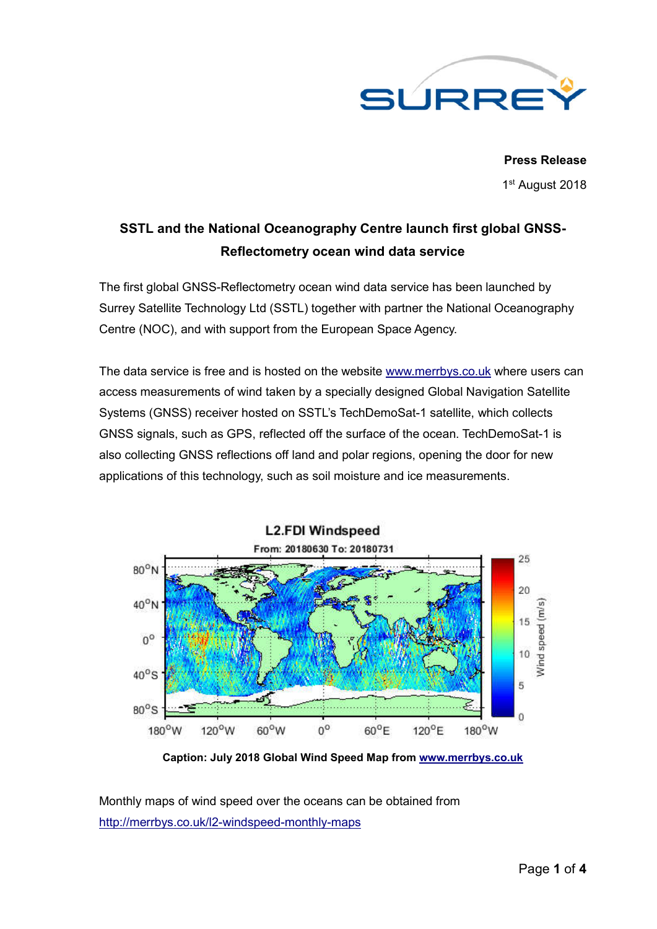

**Press Release** 1st August 2018

# **SSTL and the National Oceanography Centre launch first global GNSS-Reflectometry ocean wind data service**

The first global GNSS-Reflectometry ocean wind data service has been launched by Surrey Satellite Technology Ltd (SSTL) together with partner the National Oceanography Centre (NOC), and with support from the European Space Agency.

The data service is free and is hosted on the website www.merrbys.co.uk where users can access measurements of wind taken by a specially designed Global Navigation Satellite Systems (GNSS) receiver hosted on SSTL's TechDemoSat-1 satellite, which collects GNSS signals, such as GPS, reflected off the surface of the ocean. TechDemoSat-1 is also collecting GNSS reflections off land and polar regions, opening the door for new applications of this technology, such as soil moisture and ice measurements.



**Caption: July 2018 Global Wind Speed Map from www.merrbys.co.uk**

Monthly maps of wind speed over the oceans can be obtained from http://merrbys.co.uk/l2-windspeed-monthly-maps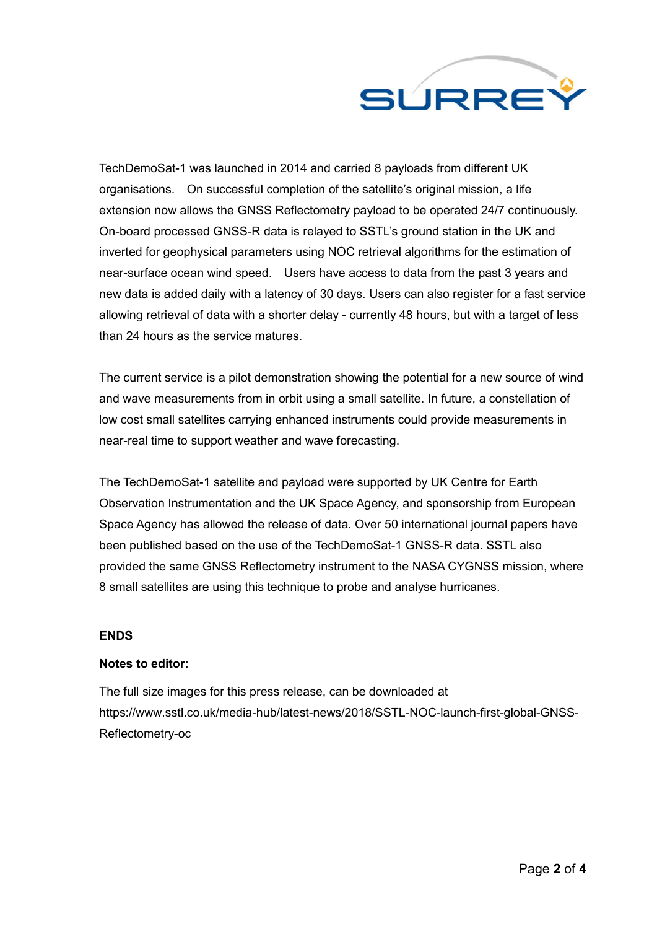

TechDemoSat-1 was launched in 2014 and carried 8 payloads from different UK organisations. On successful completion of the satellite's original mission, a life extension now allows the GNSS Reflectometry payload to be operated 24/7 continuously. On-board processed GNSS-R data is relayed to SSTL's ground station in the UK and inverted for geophysical parameters using NOC retrieval algorithms for the estimation of near-surface ocean wind speed. Users have access to data from the past 3 years and new data is added daily with a latency of 30 days. Users can also register for a fast service allowing retrieval of data with a shorter delay - currently 48 hours, but with a target of less than 24 hours as the service matures.

The current service is a pilot demonstration showing the potential for a new source of wind and wave measurements from in orbit using a small satellite. In future, a constellation of low cost small satellites carrying enhanced instruments could provide measurements in near-real time to support weather and wave forecasting.

The TechDemoSat-1 satellite and payload were supported by UK Centre for Earth Observation Instrumentation and the UK Space Agency, and sponsorship from European Space Agency has allowed the release of data. Over 50 international journal papers have been published based on the use of the TechDemoSat-1 GNSS-R data. SSTL also provided the same GNSS Reflectometry instrument to the NASA CYGNSS mission, where 8 small satellites are using this technique to probe and analyse hurricanes.

## **ENDS**

#### **Notes to editor:**

The full size images for this press release, can be downloaded at https://www.sstl.co.uk/media-hub/latest-news/2018/SSTL-NOC-launch-first-global-GNSS-Reflectometry-oc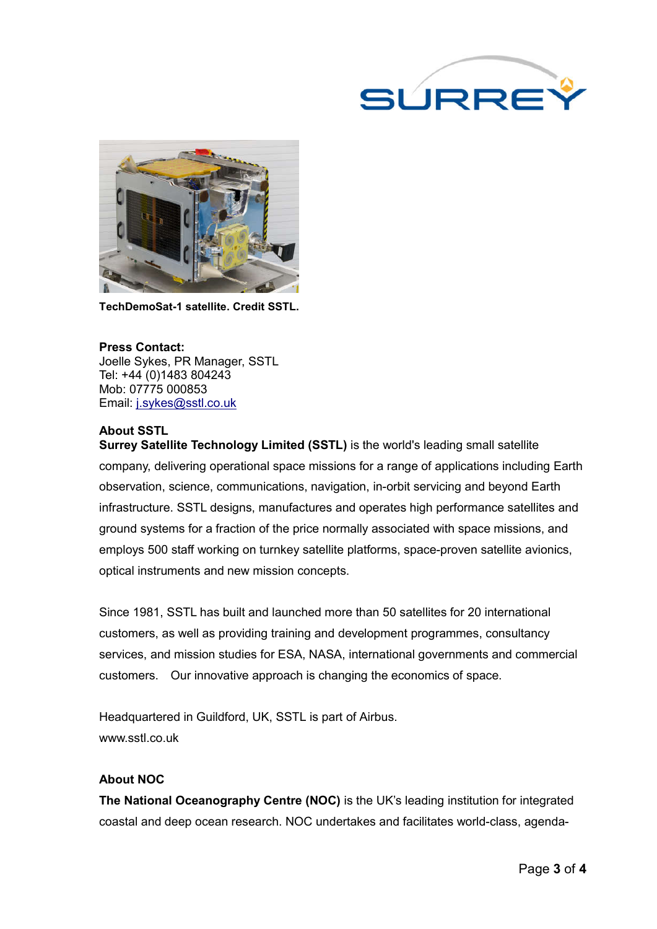



**TechDemoSat-1 satellite. Credit SSTL.**

**Press Contact:** Joelle Sykes, PR Manager, SSTL Tel: +44 (0)1483 804243 Mob: 07775 000853 Email: j.sykes@sstl.co.uk

## **About SSTL**

**Surrey Satellite Technology Limited (SSTL)** is the world's leading small satellite company, delivering operational space missions for a range of applications including Earth observation, science, communications, navigation, in-orbit servicing and beyond Earth infrastructure. SSTL designs, manufactures and operates high performance satellites and ground systems for a fraction of the price normally associated with space missions, and employs 500 staff working on turnkey satellite platforms, space-proven satellite avionics, optical instruments and new mission concepts.

Since 1981, SSTL has built and launched more than 50 satellites for 20 international customers, as well as providing training and development programmes, consultancy services, and mission studies for ESA, NASA, international governments and commercial customers. Our innovative approach is changing the economics of space.

Headquartered in Guildford, UK, SSTL is part of Airbus. www.sstl.co.uk

### **About NOC**

**The National Oceanography Centre (NOC)** is the UK's leading institution for integrated coastal and deep ocean research. NOC undertakes and facilitates world-class, agenda-